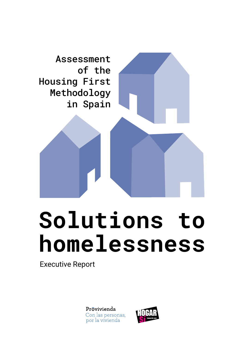

## **Solutions to homelessness**

Executive Report

Prôvivienda Con las personas, por la vivienda

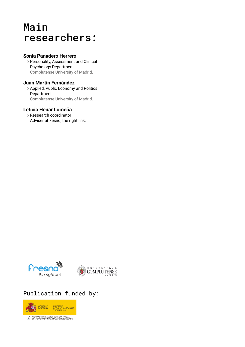### Main researchers:

### **Sonia Panadero Herrero**

Personality, Assessment and Clinical Psychology Department. Complutense University of Madrid.

### **Juan Martín Fernández**

Applied, Public Economy and Politics Department. Complutense University of Madrid.

### **Leticia Henar Lomeña**

Ressearch coordinator Adviser at Fesno, the right link.



### Publication funded by:



APOYO AL TERCER SECTOR DE ACCIÓN SOCIAL<br>CON CARGO AL 0,7 DEL IMPUESTO DE SOCIEDADES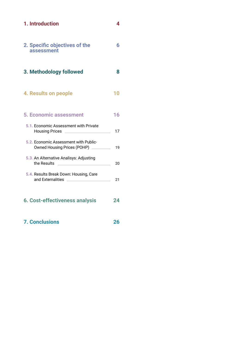|  |  |  | 1. Introduction |
|--|--|--|-----------------|
|--|--|--|-----------------|

**[8](#page-7-0)**

**[2](#page-25-0)6**

| 2. Specific objectives of the |  |
|-------------------------------|--|
| assessment                    |  |

### **[3. Methodology followed](#page-7-0)**

#### **[4. Results on people](#page-9-0) [10](#page-9-0)**

#### **[5. Economic assessment](#page-15-0) [1](#page-15-0)6**

| 5.1. Economic Assessment with Private<br><b>Housing Prices</b>       | 17 |
|----------------------------------------------------------------------|----|
| 5.2. Economic Assessment with Public-<br>Owned Housing Prices (POHP) | 19 |
| 5.3. An Alternative Analisys: Adjusting<br>the Results               | 20 |
| <b>E.A. Depute Dreak Dougulational Care</b>                          |    |

| <b>5.4. Results Break Down: Housing, Care</b> |  |
|-----------------------------------------------|--|
| and Externalities                             |  |
|                                               |  |

- **[6. Cost-effectiveness analysis](#page-23-0) [2](#page-23-0)4**
- **[7. Conclusions](#page-25-0)**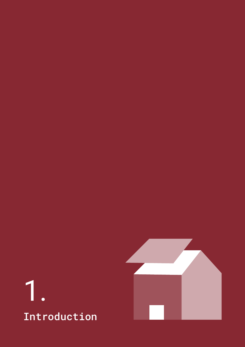

<span id="page-3-0"></span>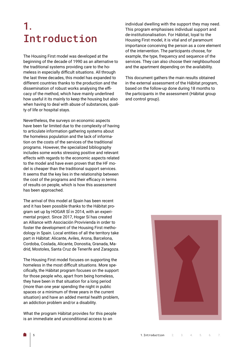### 1. Introduction

The Housing First model was developed at the beginning of the decade of 1990 as an alternative to the traditional systems providing care to the homeless in especially difficult situations. All through the last three decades, this model has expanded to different countries thanks to the production and the dissemination of robust works analysing the efficacy of the method, which have mainly underlined how useful it its mainly to keep the housing but also when having to deal with abuse of substances, quality of life or hospital stays.

Nevertheless, the surveys on economic aspects have been far limited due to the complexity of having to articulate information gathering systems about the homeless population and the lack of information on the costs of the services of the traditional programs. However, the specialized bibliography includes some works stressing positive and relevant effects with regards to the economic aspects related to the model and have even proven that the HF model is cheaper than the traditional support services. It seems that the key lies in the relationship between the cost of the programs and their efficacy in terms of results on people, which is how this assessment has been approached.

The arrival of this model at Spain has been recent and it has been possible thanks to the Hábitat program set up by HOGAR SÍ in 2014, with an experimental project. Since 2017, Hogar Sí has created an Alliance with Asociación Provivienda in order to foster the development of the Housing First methodology in Spain. Local entities of all the territory take part in Hábitat: Alicante, Aviles, Arona, Barcelona, Cordoba, Coslada, Alicante, Donostia, Granada, Madrid, Mostoles, Santa Cruz de Tenerife and Zaragoza.

The Housing First model focuses on supporting the homeless in the most difficult situations. More specifically, the Hábitat program focuses on the support for those people who, apart from being homeless, they have been in that situation for a long period (more than one year spending the night in public spaces or a minimum of three years in the current situation) and have an added mental health problem, an addiction problem and/or a disability.

What the program Hábitat provides for this people is an immediate and unconditional access to an

individual dwelling with the support they may need. This program emphasises individual support and de-institutionalisation. For Hábitat, loyal to the Housing First model, it is vital and of paramount importance conceiving the person as a core element of the intervention. The participants choose, for example, the type, frequency and sequence of the services. They can also choose their neighbourhood and the apartment depending on the availability.

This document gathers the main results obtained in the external assessment of the Hábitat program, based on the follow-up done during 18 months to the participants in the assessment (Hábitat group and control group).

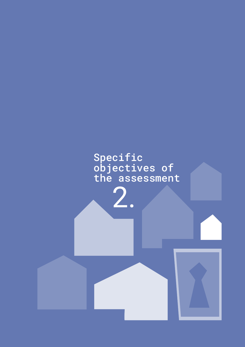<span id="page-5-0"></span>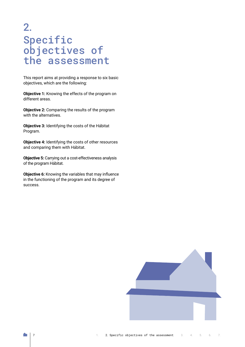### 2. Specific objectives of the assessment

This report aims at providing a response to six basic objectives, which are the following:

**Objective 1:** Knowing the effects of the program on different areas.

**Objective 2:** Comparing the results of the program with the alternatives.

**Objective 3:** Identifying the costs of the Hábitat Program.

**Objective 4:** Identifying the costs of other resources and comparing them with Hábitat.

**Objective 5:** Carrying out a cost-effectiveness analysis of the program Hábitat.

**Objective 6:** Knowing the variables that may influence in the functioning of the program and its degree of success.

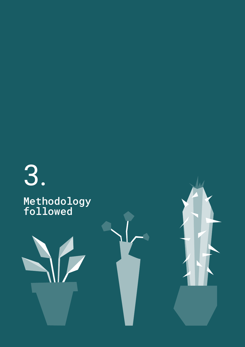<span id="page-7-0"></span>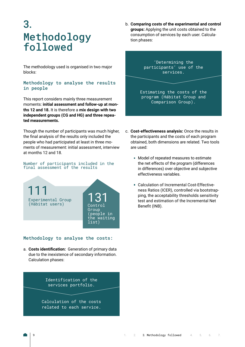### 3. Methodology followed

The methodology used is organised in two major blocks:

### Methodology to analyse the results in people

This report considers mainly three measurement moments: **initial assessment and follow-up at months 12 and 18.** It is therefore a **mix design with two independent groups (CG and HG) and three repeated measurements.**

Though the number of participants was much higher, the final analysis of the results only included the people who had participated at least in three moments of measurement: initial assessment, interview at months 12 and 18.

### . Number of participants included in the final assessment of the results



### Methodology to analyse the costs:

a. **Costs identification:** Generation of primary data due to the inexistence of secondary information. Calculation phases:

> Identification of the services portfolio.

Calculation of the costs related to each service.

b. **Comparing costs of the experimental and control groups:** Applying the unit costs obtained to the consumption of services by each user. Calculation phases:



- c. **Cost-effectiveness analysis:** Once the results in the participants and the costs of each program obtained, both dimensions are related. Two tools are used:
	- **Model of repeated measures to estimate** the net effects of the program (differences in differences) over objective and subjective effectiveness variables.
	- Calculation of Incremental Cost-Effectiveness Ratios (ICER), controlled via bootstrapping, the acceptability thresholds sensitivity test and estimation of the Incremental Net Benefit (INB).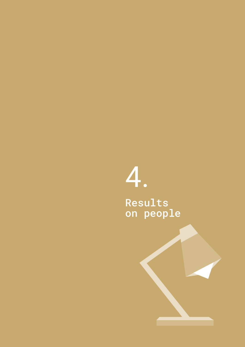## <span id="page-9-0"></span>4. Results on people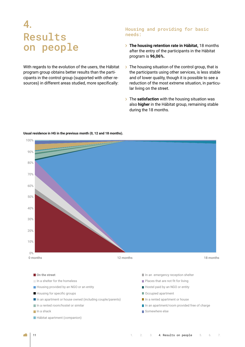### 4. Results on people

With regards to the evolution of the users, the Hábitat program group obtains better results than the participants in the control group (supported with other resources) in different areas studied, more specifically:

### Housing and providing for basic needs:

- **The housing retention rate in Hábitat,** 18 months after the entry of the participants in the Hábitat program is **96,06%.**
- $\triangleright$  The housing situation of the control group, that is the participants using other services, is less stable and of lower quality, though it is possible to see a reduction of the most extreme situation, in particular living on the street.
- **The satisfaction** with the housing situation was also **higher** in the Hábitat group, remaining stable during the 18 months.



**Usual residence in HG in the previous month (0, 12 and 18 months).**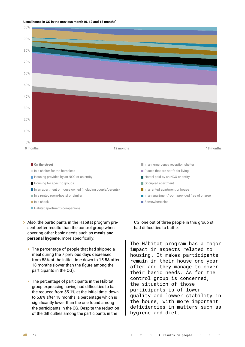#### **Usual house in CG in the previous month (0, 12 and 18 months)**



- Housing for specific groups Occupied apartment
- In an apartment or house owned (including couple/parents) In a rented apartment or house
- 
- 
- **Hábitat apartment (companion)**
- > Also, the participants in the Hábitat program present better results than the control group when covering other basic needs such as **meals and personal hygiene,** more specifically:
	- The percentage of people that had skipped a meal during the 7 previous days decreased from 58% at the initial time down to 15.5& after 18 months (lower than the figure among the participants in the CG).
	- The percentage of participants in the Hábitat group expressing having had difficulties to bathe reduced from 55.1% at the initial time, down to 5.8% after 18 months, a percentage which is significantly lower than the one found among the participants in the CG. Despite the reduction of the difficulties among the participants in the
- 
- 
- 
- $\blacksquare$  In a rented room/hostel or similar In an apartment/room provided free of charge
- In a shack **Somewhere else**

CG, one out of three people in this group still had difficulties to bathe.

The Hábitat program has a major impact in aspects related to housing. It makes participants remain in their house one year after and they manage to cover their basic needs. As for the control group is concerned, the situation of those participants is of lower quality and lowwer stability in the house, with more important deficiencies in matters such as hygiene and diet.

◢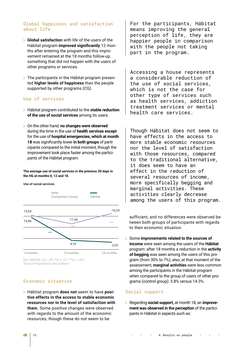### Global happiness and satisfaction about life

- **Global satisfaction** with life of the users of the Hábitat program **improved significantly** 12 months after entering the program and this improvement remained at the 18 months follow-up, something that did not happen with the users of other programs or services.
- $\triangleright$  The participants in the Hábitat program presented **higher levels of happiness** than the people supported by other programs (CG).

### Use of services

- Hábitat program contributed to the **stable reduction of the use of social services** among its users.
- On the other hand, **no changes were observed** during the time in the use of **health services except**  for the use of **hospital emergencies, which at month 18** was significantly lower **in both groups** of participants compared to the initial moment, though the improvement took place faster among the participants of the Hábitat program.

### The average use of social services in the previous 30 days in the HG at months 0, 12 and 18.

**Use of social services.**



Mix ANOVA;  $np \le 0.05$ ;  $**p \le 0.01$ ;  $***p \le 0.001$ . Source Prepared by the authors.

### Economic situation

Hábitat program **does not** seem to have **positive effects in the access to stable economic resources nor in the level of satisfaction with them.** Some positive changes were observed with regards to the amount of the economic resources, though these do not seem to be

For the participants, Hábitat means improving the general perception of life, they are happier people in comparison with the people not taking part in the program.

Accessing a house represents a considerable reduction of the use of social services, which is not the case for other type of services such as health services, addiction treatment services or mental health care services.

Though Hábitat does not seem to have effects in the access to more stable economic resources nor the level of satisfaction with those resources, compared to the traditional alternative, it does seem to have an effect in the reduction of several resources of income, more specifically begging and marginal activities. These activities clearly decrease among the users of this program.

sufficient, and no differences were observed between both groups of participants with regards to their economic situation.

Some **improvements related to the sources of income** were seen among the users of the **Hábitat** program: after 18 months a reduction in the **activity of begging** was seen among the users of this program (from 30% to 7%); also, at that moment of the assessment, **marginal activities** were less common among the participants in the Hábitat program when compared to the group of users of other programs (control group): 5.8% versus 14.3%.

### Social support

Regarding **social support,** at month 18, an **improvement was observed in the perception** of the participants in Hábitat in aspects such as:

◢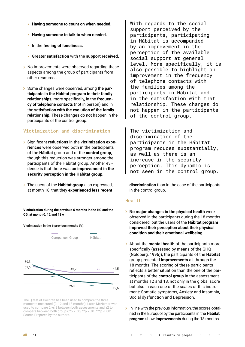- **Having someone to count on when needed.**
- **Having someone to talk to when needed.**
- In the **feeling of loneliness.**
- Greater **satisfaction** with the **support received.**
- No improvements were observed regarding these aspects among the group of participants from other resources.
- Some changes were observed, among t**he participants in the Hábitat program in their family relationships,** more specifically, in the **frequency of telephone contacts** (not in person) and in the **satisfaction with the evolution of the family relationship.** These changes do not happen in the participants of the control group.

### Victimization and discrimination

- Significant **reductions** in the v**ictimization experiences** were observed both in the participants of the **Hábitat** group and of the **control group,**  though this reduction was stronger among the participants of the Hábitat group. Another evidence is that there was **an improvement in the security perception in the Hábitat group.**
- The users of the **Hábitat group** also expressed, at month 18, that they **experienced less recent**

**Victimization during the previous 6 months in the HG and the CG, at month 0, 12 and 18w** 00, at month o,



.<br>The Q test of Cochran has been used to compare the three moments measured (0, 12 and 18 months). Later, McNemar was used to compare 2 vs 2 between both assessments and χ2 to compare between both groups; \*p ≤ .05; \*\*p ≤ .01; \*\*\*p ≤ .001. Source Prepared by the authors. With regards to the social support perceived by the participants, participating in Hábitat is accompanied by an improvement in the perception of the available social support at general level. More specifically, it is also possible to highlight an improvement in the frequency of telephone contacts with the families among the participants in Hábitat and in the satisfaction with that relationship. These changes do not happen in the participants of the control group.

The victimization and discrimination of the participants in the Hábitat program reduces substantially, as well as there is an increase in the security perception. This dynamic is not seen in the control group.

**discrimination** than in the case of the participants in the control group.

### Health

- **No major changes in the physical health** were observed in the participants during the 18 months considered, but the users of the **Hábitat program improved their perception about their physical condition and their emotional wellbeing.**
- About the **mental health** of the participants more specifically (assessed by means of the GHQ (Goldberg, 1996)), the participants of the **Hábitat** group presented **improvements** all through the 18 months. The scoring of these participants reflects a better situation than the one of the participants of the **control group** in the assessment at months 12 and 18, not only in the global score but also in each one of the scales of this instrument: Somatic symptoms, Anxiety and insomnia, Social dysfunction and Depression.
- $\triangleright$  In line with the previous information, the scores obtained in the Euroquol by the participants in the **Hábitat program** show **improvements** during the 18 months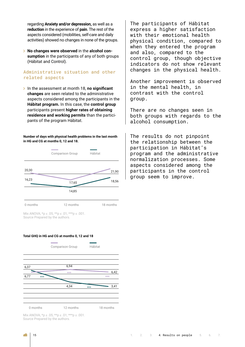regarding **Anxiety and/or depression,** as well as a **reduction** in the experience of **pain**. The rest of the aspects considered (mobilities, self-care and daily activities) showed no changes in none of the groups.

**No changes were observed** in the **alcohol consumption** in the participants of any of both groups (Hábitat and Control).

### Administrative situation and other related aspects

In the assessment at month 18, **no significant changes** are seen related to the administrative aspects considered among the participants in the **Hábitat program.** In this case, the **control group** participants present **higher rates of obtaining residence and working permits** than the participants of the program Hábitat.

Number of days with physical health problems in the last month in HG and CG at months 0, 12 and 18.



Source Prepared by the authors. Mix ANOVA;  $*p \le .05$ ;  $**p \le .01$ ;  $***p \le .001$ .

### Total GHQ in HG and CG at months 0, 12 and 18



 $S_{\rm p}$  is a utilization of .000  $\mu$ Mix ANOVA;  $*p \le .05$ ;  $**p \le .01$ ;  $***p \le .001$ . Source Prepared by the authors.

The participants of Hábitat express a higher satisfaction with their emotional health physical condition, compared to when they entered the program and also, compared to the control group, though objective indicators do not show relevant changes in the physical health.

Another improvement is observed in the mental health, in contrast with the control group.

There are no changes seen in both groups with regards to the alcohol consumption.

The results do not pinpoint the relationship between the participation in Hábitat's program and the administrative normalization processes. Some aspects considered among the participants in the control group seem to improve.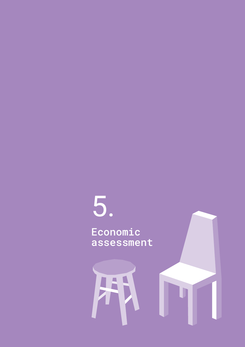# <span id="page-15-0"></span>5.

Economic assessment

 $\overline{\mathbf{A}}$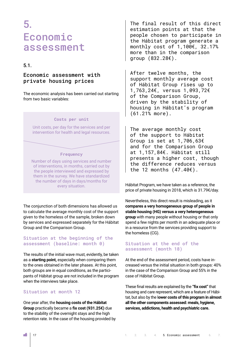### <span id="page-16-0"></span>5. Economic assessment

### 5.1.

### Economic assessment with private housing prices

The economic analysis has been carried out starting from two basic variables:

### **Costs per unit**

Unit costs, per day for the services and per intervention for health and legal resources.

### **Frequency**

Number of days using services and number of interventions, in months, carried out by the people interviewed and expressed by them in the survey. We have standardized the number of days in days/months for every situation.

The conjunction of both dimensions has allowed us to calculate the average monthly cost of the support given to the homeless of the sample, broken down by services and expressed separately for the Hábitat Group and the Comparison Group.

### Situation at the beginning of the assessment (baseline: month 0)

The results of the initial wave must, evidently, be taken as a **starting point,** especially when comparing them to the ones obtained in the later phases. At this point, both groups are in equal conditions, as the participants of Hábitat group are not included in the program when the interviews take place.

### Situation at month 12

One year after, the **housing costs of the Hábitat Group** practically became a **fix cost (931.25€)** due to the stability of the overnight stays and the high retention rate. In the case of the housing provided by

The final result of this direct estimation points at that the people chosen to participate in the Hábitat program generate a monthly cost of 1,100€, 32.17% more than in the comparison group (832.28€).

After twelve months, the support monthly average cost of Hábitat Group rises up to 1,763,24€, versus 1,093,72€ of the Comparison Group, driven by the stability of housing in Hábitat's program (61.21% more).

The average monthly cost of the support to Hábitat Group is set at 1,706,63€ and for the Comparison Group at 1,157,84€. Hábitat still presents a higher cost, though the difference reduces versus the 12 months (47.40€).

Hábitat Program, we have taken as a reference, the price of private housing in 2018, which is 31.79€/day.

Nevertheless, this direct result is misleading, as it **compares a very homogeneous group of people in stable housing (HG) versus a very heterogeneous group** with many people without housing or that only spend a few nights per month in an adequate place or in a resource from the services providing support to the homeless (CG).

### Situation at the end of the assessment (month 18)

At the end of the assessment period, costs have increased versus the initial situation in both groups: 40% in the case of the Comparison Group and 55% in the case of Hábitat Group.

These final results are explained by the **"fix cost"** that housing and care represent, which are a feature of Hábitat, but also by the l**ower costs of this program in almost all the other components assessed: meals, hygiene, services, addictions, health and psychiatric care.**

÷.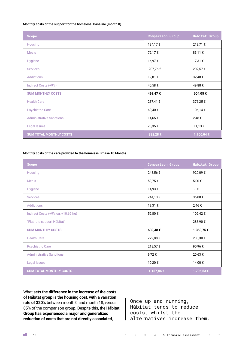#### **Monthly costs of the support for the homeless. Baseline (month 0).**

| <b>Scope</b>                    | <b>Comparison Group</b> | Hábitat Group |
|---------------------------------|-------------------------|---------------|
| Housing                         | 134,17€                 | 218,71€       |
| <b>Meals</b>                    | 72,17€                  | 83,11 €       |
| <b>Hygiene</b>                  | 16,97€                  | 17,31 €       |
| <b>Services</b>                 | 207,76€                 | 202,57€       |
| <b>Addictions</b>               | 19,81 €                 | 32,48€        |
| Indirect Costs (+9%)            | 40,58€                  | 49,88€        |
| <b>SUM MONTHLY COSTS</b>        | 491,47€                 | 604,05€       |
| <b>Health Care</b>              | 237,41 €                | 376,25€       |
| <b>Psychiatric Care</b>         | 60,40€                  | 106,14€       |
| <b>Administrative Sanctions</b> | 14,65€                  | 2,48€         |
| Legal Issues                    | 28,35€                  | 11,13 €       |
| <b>SUM TOTAL MONTHLY COSTS</b>  | 832,28€                 | 1.100,04 €    |

### **Monthly costs of the care provided to the homeless. Phase 18 Months.**

| <b>Scope</b>                       | <b>Comparison Group</b> | Hábitat Group |
|------------------------------------|-------------------------|---------------|
| Housing                            | 248,56€                 | 920,09€       |
| <b>Meals</b>                       | 59,75€                  | 5,00 €        |
| Hygiene                            | 14,93€                  | - €           |
| <b>Services</b>                    | 244,13€                 | 36,88€        |
| <b>Addictions</b>                  | 19,31 €                 | 2,46€         |
| Indirect Costs (+9% cg; +10.62 hg) | 52,80€                  | 102,42€       |
| "Flat rate support Hábitat"        |                         | 283,90€       |
| <b>SUM MONTHLY COSTS</b>           | 639,48€                 | 1.350,75€     |
| <b>Health Care</b>                 | 279,88€                 | 230,30€       |
| <b>Psychiatric Care</b>            | 218,57€                 | 90,96€        |
| <b>Administrative Sanctions</b>    | 9,72€                   | 20,63€        |
| Legal Issues                       | 10,20€                  | 14,00 €       |
| <b>SUM TOTAL MONTHLY COSTS</b>     | 1.157,84 €              | 1.706,63 €    |

What **sets the difference in the increase of the costs of Hábitat group is the housing cost, with a variation rate of 320%** between month 0 and month 18, versus 85% of the comparison group. Despite this, the **Hábitat Group has experienced a major and generalized reduction of costs that are not directly associated,**

Once up and running, Hábitat tends to reduce costs, whilst the alternatives increase them.

n and a series of the contract of the contract of the contract of the contract of the contract of the contract of the contract of the contract of the contract of the contract of the contract of the contract of the contract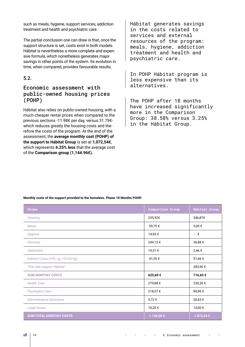<span id="page-18-0"></span>such as meals, hygiene, support services, addiction treatment and health and psychiatric care.

The partial conclusion one can draw is that, once the support structure is set, costs exist in both models. Hábitat is nevertheless a more complete and expensive formula, which nonetheless generates major savings in other points of the system. Its evolution in time, when compared, provides favourable results.

### 5.2.

### Economic assessment with public-owned housing prices (POHP)

Hábitat also relies on public-owned housing, with a much cheaper rental prices when compared to the previous sections -11.98€ per day, versus 31.79€ which reduces greatly the housing costs and therefore the costs of the program. At the end of the assessment, the **average monthly cost (POHP) of the support to Hábitat Group** is set at **1,072,54€**, which represents **6.25% less** that the average cost of the **Comparison group (1,144.96€).**

Hábitat generates savings in the costs related to services and external resources of the program: meals, hygiene, addiction treatment and health and psychiatric care.

In POHP Hábitat program is less expensive than its alternatives.

The POHP after 18 months have increased significantly more in the Comparison Group: 38.58% versus 3.25% in the Hábitat Group.

| Scope        | <b>Comparison Gro</b> |
|--------------|-----------------------|
| Housing      | 235,92€               |
| <b>Meals</b> | 59,75 €               |
|              | 1102c                 |

**Monthly costs of the support provided to the homeless. Phase 18 Months POHP.**

| <b>Scope</b>                       | <b>Comparison Group</b> | Hábitat Group |
|------------------------------------|-------------------------|---------------|
| Housing                            | 235,92€                 | 346,87€       |
| <b>Meals</b>                       | 59,75€                  | 5,00 €        |
| Hygiene                            | 14,93€                  | - €           |
| <b>Services</b>                    | 244,13€                 | 36,88€        |
| <b>Addictions</b>                  | 19,31 €                 | 2,46 €        |
| Indirect Costs (+9% cg; +10.62 hg) | 41,55€                  | 51,66€        |
| "Flat rate support Hábitat"        |                         | 283,90€       |
| <b>SUM MONTHLY COSTS</b>           | 625,69€                 | 716,65€       |
| <b>Health Care</b>                 | 279,88€                 | 230,30€       |
| <b>Psychiatric Care</b>            | 218,57€                 | 90,96€        |
| <b>Administrative Sanctions</b>    | 9,72€                   | 20,63€        |
| Legal Issues                       | 10,20€                  | 14,00 €       |
| <b>SUM TOTAL MONTHLY COSTS</b>     | 1.144,06 €              | 1.072,54 €    |

◢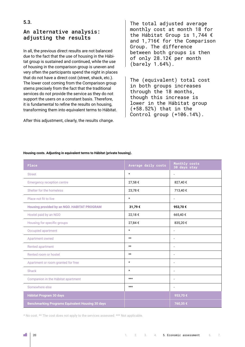### <span id="page-19-0"></span>An alternative analysis: adjusting the results

In all, the previous direct results are not balanced due to the fact that the use of housing in the Hábitat group is sustained and continued, while the use of housing in the comparison group is uneven and very often the participants spend the night in places that do not have a direct cost (street, shack, etc.). The lower cost coming from the Comparison group stems precisely from the fact that the traditional services do not provide the service as they do not support the users on a constant basis. Therefore, it is fundamental to refine the results on housing, transforming them into equivalent terms to Hábitat.

After this adjustment, clearly, the results change.

The total adjusted average monthly cost at month 18 for the Hábitat Group is 1,744 € and 1,716€ for the Comparison Group. The difference between both groups is then of only 28.12€ per month (barely 1.64%).

The (equivalent) total cost in both groups increases through the 18 months, though this increase is lower in the Hábitat group (+58.52%) that in the Control group (+106.14%).

#### **Housing costs. Adjusting in equivalent terms to Hábitat (private housing).**

| Place                                                   | Average daily costs | Monthly costs<br>30 days stay |
|---------------------------------------------------------|---------------------|-------------------------------|
| <b>Street</b>                                           | $\star$             |                               |
| <b>Emergency reception centre</b>                       | 27,58€              | 827,40€                       |
| Shelter for the homeless                                | 23,78€              | 713,40€                       |
| Place not fit to live                                   | $\star$             | $\blacksquare$                |
| Housing provided by an NGO. HABITAT PROGRAM             | 31,79€              | 953,70€                       |
| Hostel paid by an NGO                                   | 22,18€              | 665,40€                       |
| Housing for specific groups                             | 27,84 €             | 835,20€                       |
| Occupied apartment                                      | $^\star$            | $\overline{\phantom{a}}$      |
| Apartment owned                                         | $\star\star$        | $\overline{\phantom{a}}$      |
| Rented apartment                                        | $**$                | $\overline{\phantom{a}}$      |
| Rented room or hostel                                   | $\star\star$        | $\overline{\phantom{a}}$      |
| Apartment or room granted for free                      | $\star$             | $\overline{\phantom{a}}$      |
| Shack                                                   | $\star$             | $\overline{\phantom{a}}$      |
| Companion in the Hábitat apartment                      | $***$               | $\overline{\phantom{a}}$      |
| Somewhere else                                          | $***$               | $\overline{\phantom{a}}$      |
| <b>Hábitat Program 30 days</b>                          |                     | 953,70€                       |
| <b>Benchmarking Programs Equivalent Housing 30 days</b> |                     | 760,35 €                      |

\* No cost. \*\* The cost does not apply to the services assessed. \*\*\* Not applicable.

◢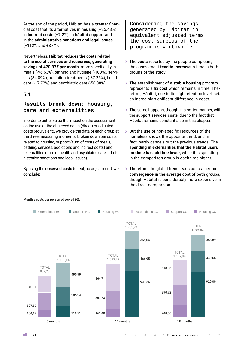<span id="page-20-0"></span>At the end of the period, Hábitat has a greater financial cost that its alternatives in **housing** (+25.43%), in **indirect costs** (+7.2%), in **hábitat support** and in the **administrative sanctions and legal issues**  (+112% and +37%).

Nevertheless, **Hábitat reduces the costs related to the use of services and resources, generating savings of 470.97€ per month,** more specifically in meals (-96.63%), bathing and hygiene (-100%), services (84.89%), addiction treatments (-87.25%), health care (-17.72%) and psychiatric care (-58.38%).

### 5.4.

### Results break down: housing, care and externalities

In order to better value the impact on the assessment on the use of the observed costs (direct) or adjusted costs (equivalent), we provide the data of each group at the three measuring moments, broken down per costs related to housing, support (sum of costs of meals, bathing, services, addictions and indirect costs) and externalities (sum of health and psychiatric care, administrative sanctions and legal issues).

By using the **observed costs** (direct, no adjustment), we conclude:

Considering the savings generated by Hábitat in equivalent adjusted terms, the cost surplus of the program is worthwhile.

- The **costs** reported by the people completing the assessment **tend to increase** in time in both groups of the study.
- The establishment of a **stable housing** program represents a **fix cost** which remains in time. Therefore, Hábitat, due to its high retention level, sets an incredibly significant difference in costs..
- $\geq$  The same happens, though in a softer manner, with the **support services costs**, due to the fact that Hábitat remains constant also in this chapter.
- $\geq$  But the use of non-specific resources of the homeless shows the opposite trend, and in fact, partly cancels out the previous trends. The **spending in externalities that the Hábitat users produce is each time lower,** while this spending in the comparison group is each time higher.
- $\triangleright$  Therefore, the global trend leads us to a certain **convergence in the average cost of both groups,**  though Hábitat is considerably more expensive in the direct comparison.



### **Monthly costs per person observed (€).**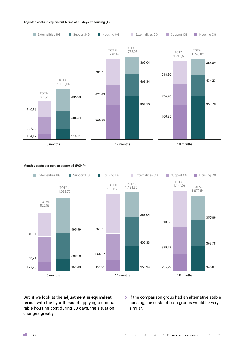#### **Adjusted costs in equivalent terms at 30 days of housing (€).**



### **Monthly costs per person observed (POHP).**



But, if we look at the **adjustment in equivalent terms,** with the hypothesis of applying a comparable housing cost during 30 days, the situation changes greatly:

 $\geq$  If the comparison group had an alternative stable housing, the costs of both groups would be very similar.

a.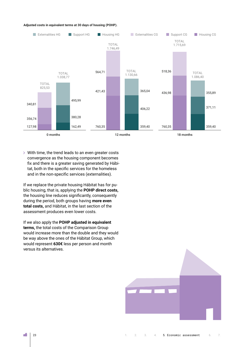#### **Adjusted costs in equivalent terms at 30 days of housing (POHP).**



With time, the trend leads to an even greater costs convergence as the housing component becomes fix and there is a greater saving generated by Hábitat, both in the specific services for the homeless and in the non-specific services (externalities).

If we replace the private housing Hábitat has for public housing, that is, applying the **POHP direct costs,** the housing line reduces significantly, consequently during the period, both groups having **more even total costs,** and Hábitat, in the last section of the assessment produces even lower costs.

If we also apply the **POHP adjusted in equivalent terms,** the total costs of the Comparison Group would increase more than the double and they would be way above the ones of the Hábitat Group, which would represent **630€** less per person and month versus its alternatives.



÷.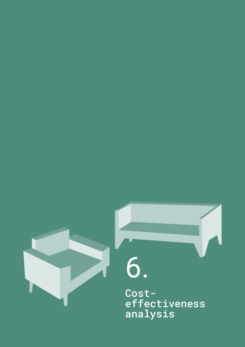<span id="page-23-0"></span>

# 6.

Costeffectiveness analysis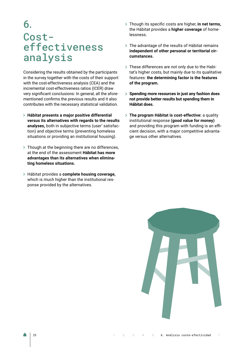### 6. Costeffectiveness analysis

Considering the results obtained by the participants in the survey together with the costs of their support with the cost-effectiveness analysis (CEA) and the incremental cost-effectiveness ratios (ICER) draw very significant conclusions: In general, all the aforementioned confirms the previous results and it also contributes with the necessary statistical validation.

- **Hábitat presents a major positive differential versus its alternatives with regards to the results analyses,** both in subjective terms (user' satisfaction) and objective terms (preventing homeless situations or providing an institutional housing).
- $\geq$  Though at the beginning there are no differences, at the end of the assessment **Hábitat has more advantages than its alternatives when eliminating homeless situations.**
- Hábitat provides a **complete housing coverage,** which is much higher than the institutional response provided by the alternatives.
- Though its specific costs are higher, **in net terms,**  the Hábitat provides a **higher coverage** of homelessness.
- $\geq$  The advantage of the results of Hábitat remains **independent of other personal or territorial circumstances.**
- These differences are not only due to the Habitat's higher costs, but mainly due to its qualitative features: **the determining factor is the features of the program.**
- **Spending more resources in just any fashion does not provide better results but spending them in Hábitat does.**
- **The program Hábitat is cost-effective:** a quality institutional response **(good value for money)**  and providing this program with funding is an efficient decision, with a major competitive advantage versus other alternatives.

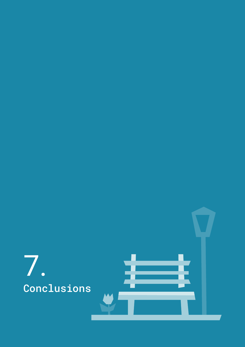<span id="page-25-0"></span>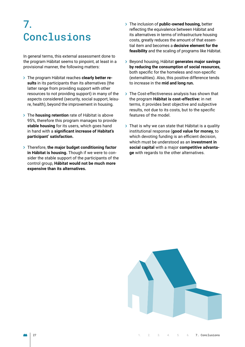### 7. **Conclusions**

In general terms, this external assessment done to the program Hábitat seems to pinpoint, at least in a provisional manner, the following matters:

- The program Hábitat reaches **clearly better results** in its participants than its alternatives (the latter range from providing support with other resources to not providing support) in many of the aspects considered (security, social support, leisure, health), beyond the improvement in housing.
- The **housing retention** rate of Hábitat is above 95%, therefore this program manages to provide **stable housing** for its users, which goes hand in hand with a **significant increase of Habitat's participant' satisfaction.**
- Therefore, **the major budget conditioning factor in Hábitat is housing.** Though if we were to consider the stable support of the participants of the control group, **Hábitat would not be much more expensive than its alternatives.**
- The inclusion of **public-owned housing,** better reflecting the equivalence between Hábitat and its alternatives in terms of infrastructure housing costs, greatly reduces the amount of that essential item and becomes a **decisive element for the feasibility** and the scaling of programs like Hábitat.
- Beyond housing, Hábitat **generates major savings by reducing the consumption of social resources,**  both specific for the homeless and non-specific (externalities). Also, this positive difference tends to increase in the **mid and long run.**
- $\rightarrow$  The Cost-effectiveness analysis has shown that the program **Hábitat is cost-effective:** in net terms, it provides best objective and subjective results, not due to its costs, but to the specific features of the model.
- $\rightarrow$  That is why we can state that Hábitat is a quality institutional response (**good value for money,** to which devoting funding is an efficient decision, which must be understood as an **investment in social capital** with a major **competitive advantage** with regards to the other alternatives.